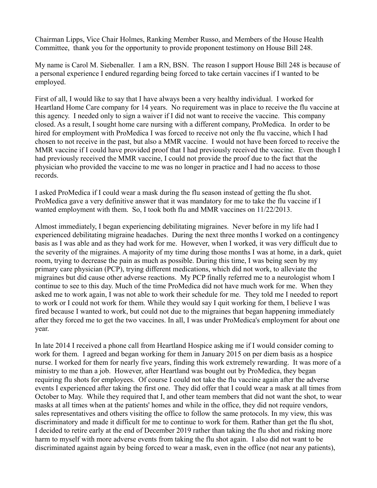Chairman Lipps, Vice Chair Holmes, Ranking Member Russo, and Members of the House Health Committee, thank you for the opportunity to provide proponent testimony on House Bill 248.

My name is Carol M. Siebenaller. I am a RN, BSN. The reason I support House Bill 248 is because of a personal experience I endured regarding being forced to take certain vaccines if I wanted to be employed.

First of all, I would like to say that I have always been a very healthy individual. I worked for Heartland Home Care company for 14 years. No requirement was in place to receive the flu vaccine at this agency. I needed only to sign a waiver if I did not want to receive the vaccine. This company closed. As a result, I sought home care nursing with a different company, ProMedica. In order to be hired for employment with ProMedica I was forced to receive not only the flu vaccine, which I had chosen to not receive in the past, but also a MMR vaccine. I would not have been forced to receive the MMR vaccine if I could have provided proof that I had previously received the vaccine. Even though I had previously received the MMR vaccine, I could not provide the proof due to the fact that the physician who provided the vaccine to me was no longer in practice and I had no access to those records.

I asked ProMedica if I could wear a mask during the flu season instead of getting the flu shot. ProMedica gave a very definitive answer that it was mandatory for me to take the flu vaccine if I wanted employment with them. So, I took both flu and MMR vaccines on 11/22/2013.

Almost immediately, I began experiencing debilitating migraines. Never before in my life had I experienced debilitating migraine headaches. During the next three months I worked on a contingency basis as I was able and as they had work for me. However, when I worked, it was very difficult due to the severity of the migraines. A majority of my time during those months I was at home, in a dark, quiet room, trying to decrease the pain as much as possible. During this time, I was being seen by my primary care physician (PCP), trying different medications, which did not work, to alleviate the migraines but did cause other adverse reactions. My PCP finally referred me to a neurologist whom I continue to see to this day. Much of the time ProMedica did not have much work for me. When they asked me to work again, I was not able to work their schedule for me. They told me I needed to report to work or I could not work for them. While they would say I quit working for them, I believe I was fired because I wanted to work, but could not due to the migraines that began happening immediately after they forced me to get the two vaccines. In all, I was under ProMedica's employment for about one year.

In late 2014 I received a phone call from Heartland Hospice asking me if I would consider coming to work for them. I agreed and began working for them in January 2015 on per diem basis as a hospice nurse. I worked for them for nearly five years, finding this work extremely rewarding. It was more of a ministry to me than a job. However, after Heartland was bought out by ProMedica, they began requiring flu shots for employees. Of course I could not take the flu vaccine again after the adverse events I experienced after taking the first one. They did offer that I could wear a mask at all times from October to May. While they required that I, and other team members that did not want the shot, to wear masks at all times when at the patients' homes and while in the office, they did not require vendors, sales representatives and others visiting the office to follow the same protocols. In my view, this was discriminatory and made it difficult for me to continue to work for them. Rather than get the flu shot, I decided to retire early at the end of December 2019 rather than taking the flu shot and risking more harm to myself with more adverse events from taking the flu shot again. I also did not want to be discriminated against again by being forced to wear a mask, even in the office (not near any patients),